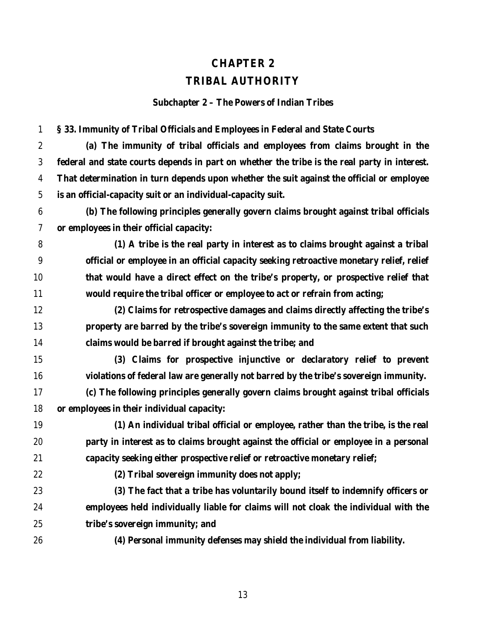## **CHAPTER 2 TRIBAL AUTHORITY**

**Subchapter 2 – The Powers of Indian Tribes**

**§ 33. Immunity of Tribal Officials and Employees in Federal and State Courts**

 **(a) The immunity of tribal officials and employees from claims brought in the federal and state courts depends in part on whether the tribe is the real party in interest. That determination in turn depends upon whether the suit against the official or employee is an official-capacity suit or an individual-capacity suit.**

 **(b) The following principles generally govern claims brought against tribal officials or employees in their official capacity:**

 **(1) A tribe is the real party in interest as to claims brought against a tribal official or employee in an official capacity seeking retroactive monetary relief, relief that would have a direct effect on the tribe's property, or prospective relief that would require the tribal officer or employee to act or refrain from acting;**

 **(2) Claims for retrospective damages and claims directly affecting the tribe's property are barred by the tribe's sovereign immunity to the same extent that such claims would be barred if brought against the tribe; and**

 **(3) Claims for prospective injunctive or declaratory relief to prevent violations of federal law are generally not barred by the tribe's sovereign immunity.**

 **(c) The following principles generally govern claims brought against tribal officials or employees in their individual capacity:**

 **(1) An individual tribal official or employee, rather than the tribe, is the real party in interest as to claims brought against the official or employee in a personal capacity seeking either prospective relief or retroactive monetary relief;**

**(2) Tribal sovereign immunity does not apply;**

 **(3) The fact that a tribe has voluntarily bound itself to indemnify officers or employees held individually liable for claims will not cloak the individual with the tribe's sovereign immunity; and**

**(4) Personal immunity defenses may shield the individual from liability.**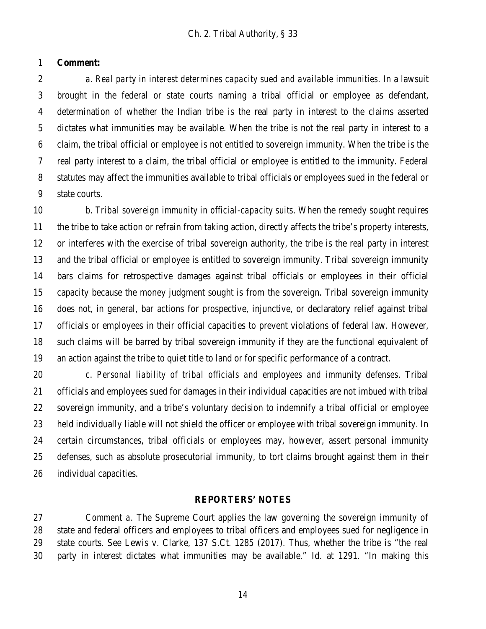## **Comment:**

 *a. Real party in interest determines capacity sued and available immunities*. In a lawsuit brought in the federal or state courts naming a tribal official or employee as defendant, determination of whether the Indian tribe is the real party in interest to the claims asserted dictates what immunities may be available. When the tribe is not the real party in interest to a claim, the tribal official or employee is not entitled to sovereign immunity. When the tribe is the real party interest to a claim, the tribal official or employee is entitled to the immunity. Federal statutes may affect the immunities available to tribal officials or employees sued in the federal or state courts.

 *b. Tribal sovereign immunity in official-capacity suits.* When the remedy sought requires the tribe to take action or refrain from taking action, directly affects the tribe's property interests, or interferes with the exercise of tribal sovereign authority, the tribe is the real party in interest and the tribal official or employee is entitled to sovereign immunity. Tribal sovereign immunity bars claims for retrospective damages against tribal officials or employees in their official capacity because the money judgment sought is from the sovereign. Tribal sovereign immunity does not, in general, bar actions for prospective, injunctive, or declaratory relief against tribal officials or employees in their official capacities to prevent violations of federal law. However, such claims will be barred by tribal sovereign immunity if they are the functional equivalent of an action against the tribe to quiet title to land or for specific performance of a contract.

 *c*. *Personal liability of tribal officials and employees and immunity defenses*. Tribal officials and employees sued for damages in their individual capacities are not imbued with tribal sovereign immunity, and a tribe's voluntary decision to indemnify a tribal official or employee held individually liable will not shield the officer or employee with tribal sovereign immunity. In certain circumstances, tribal officials or employees may, however, assert personal immunity defenses, such as absolute prosecutorial immunity, to tort claims brought against them in their individual capacities.

## **REPORTERS' NOTES**

 *Comment a.* The Supreme Court applies the law governing the sovereign immunity of state and federal officers and employees to tribal officers and employees sued for negligence in state courts. See Lewis v. Clarke, 137 S.Ct. 1285 (2017). Thus, whether the tribe is "the real party in interest dictates what immunities may be available." Id. at 1291. "In making this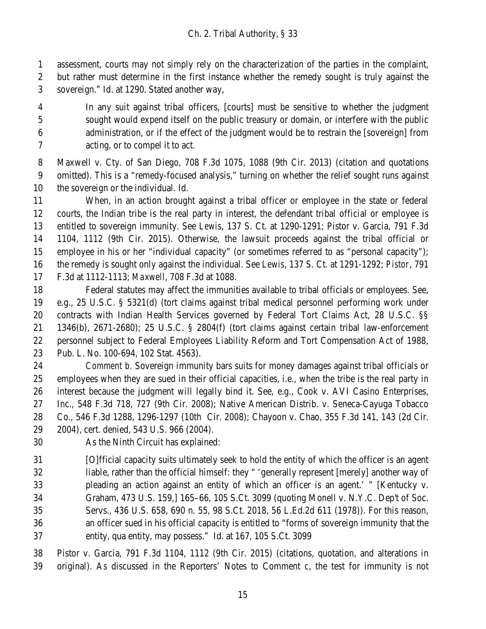assessment, courts may not simply rely on the characterization of the parties in the complaint,

but rather must determine in the first instance whether the remedy sought is truly against the

sovereign." Id. at 1290. Stated another way,

 In any suit against tribal officers, [courts] must be sensitive to whether the judgment sought would expend itself on the public treasury or domain, or interfere with the public administration, or if the effect of the judgment would be to restrain the [sovereign] from acting, or to compel it to act.

 Maxwell v. Cty. of San Diego, 708 F.3d 1075, 1088 (9th Cir. 2013) (citation and quotations omitted). This is a "remedy-focused analysis," turning on whether the relief sought runs against the sovereign or the individual. Id.

 When, in an action brought against a tribal officer or employee in the state or federal courts, the Indian tribe is the real party in interest, the defendant tribal official or employee is entitled to sovereign immunity. See *Lewis*, 137 S. Ct. at 1290-1291; Pistor v. Garcia, 791 F.3d 1104, 1112 (9th Cir. 2015). Otherwise, the lawsuit proceeds against the tribal official or employee in his or her "individual capacity" (or sometimes referred to as "personal capacity"); the remedy is sought only against the individual. See *Lewis*, 137 S. Ct. at 1291-1292; *Pistor*, 791 F.3d at 1112-1113; *Maxwell*, 708 F.3d at 1088.

 Federal statutes may affect the immunities available to tribal officials or employees. See, e.g., 25 U.S.C. § 5321(d) (tort claims against tribal medical personnel performing work under contracts with Indian Health Services governed by Federal Tort Claims Act, 28 U.S.C. §§ 1346(b), 2671-2680); 25 U.S.C. § 2804(f) (tort claims against certain tribal law-enforcement personnel subject to Federal Employees Liability Reform and Tort Compensation Act of 1988, Pub. L. No. 100-694, 102 Stat. 4563).

 *Comment b.* Sovereign immunity bars suits for money damages against tribal officials or employees when they are sued in their official capacities, i.e., when the tribe is the real party in interest because the judgment will legally bind it. See, e.g., Cook v. AVI Casino Enterprises, Inc., 548 F.3d 718, 727 (9th Cir. 2008); Native American Distrib. v. Seneca-Cayuga Tobacco Co., 546 F.3d 1288, 1296-1297 (10th Cir. 2008); Chayoon v. Chao, 355 F.3d 141, 143 (2d Cir.

- 2004), cert. denied, 543 U.S. 966 (2004).
- As the Ninth Circuit has explained:

 [O]fficial capacity suits ultimately seek to hold the entity of which the officer is an agent liable, rather than the official himself: they " 'generally represent [merely] another way of pleading an action against an entity of which an officer is an agent.' " [Kentucky v. Graham, 473 U.S. 159,] 165–66, 105 S.Ct. 3099 (quoting Monell v. N.Y.C. Dep't of Soc. Servs., 436 U.S. 658, 690 n. 55, 98 S.Ct. 2018, 56 L.Ed.2d 611 (1978)). For this reason, an officer sued in his official capacity is entitled to "forms of sovereign immunity that the entity, qua entity, may possess." Id. at 167, 105 S.Ct. 3099

 Pistor v. Garcia, 791 F.3d 1104, 1112 (9th Cir. 2015) (citations, quotation, and alterations in original). As discussed in the Reporters' Notes to Comment *c*, the test for immunity is not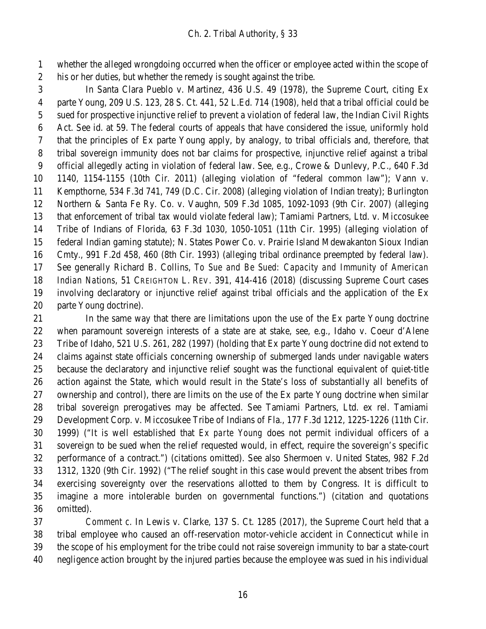whether the alleged wrongdoing occurred when the officer or employee acted within the scope of his or her duties, but whether the remedy is sought against the tribe.

 In Santa Clara Pueblo v. Martinez, 436 U.S. 49 (1978), the Supreme Court, citing Ex parte Young, 209 U.S. 123, 28 S. Ct. 441, 52 L.Ed. 714 (1908), held that a tribal official could be sued for prospective injunctive relief to prevent a violation of federal law, the Indian Civil Rights Act. See id. at 59. The federal courts of appeals that have considered the issue, uniformly hold that the principles of Ex parte Young apply, by analogy, to tribal officials and, therefore, that tribal sovereign immunity does not bar claims for prospective, injunctive relief against a tribal official allegedly acting in violation of federal law. See, e.g., Crowe & Dunlevy, P.C., 640 F.3d 1140, 1154-1155 (10th Cir. 2011) (alleging violation of "federal common law"); Vann v. Kempthorne, 534 F.3d 741, 749 (D.C. Cir. 2008) (alleging violation of Indian treaty); Burlington Northern & Santa Fe Ry. Co. v. Vaughn, 509 F.3d 1085, 1092-1093 (9th Cir. 2007) (alleging that enforcement of tribal tax would violate federal law); Tamiami Partners, Ltd. v. Miccosukee Tribe of Indians of Florida, 63 F.3d 1030, 1050-1051 (11th Cir. 1995) (alleging violation of federal Indian gaming statute); N. States Power Co. v. Prairie Island Mdewakanton Sioux Indian Cmty., 991 F.2d 458, 460 (8th Cir. 1993) (alleging tribal ordinance preempted by federal law). See generally Richard B. Collins, *To Sue and Be Sued: Capacity and Immunity of American Indian Nations*, 51 CREIGHTON L. REV. 391, 414-416 (2018) (discussing Supreme Court cases involving declaratory or injunctive relief against tribal officials and the application of the Ex parte Young doctrine).

 In the same way that there are limitations upon the use of the Ex parte Young doctrine when paramount sovereign interests of a state are at stake, see, e.g., Idaho v. Coeur d'Alene Tribe of Idaho, 521 U.S. 261, 282 (1997) (holding that Ex parte Young doctrine did not extend to claims against state officials concerning ownership of submerged lands under navigable waters because the declaratory and injunctive relief sought was the functional equivalent of quiet-title action against the State, which would result in the State's loss of substantially all benefits of ownership and control), there are limits on the use of the Ex parte Young doctrine when similar tribal sovereign prerogatives may be affected. See Tamiami Partners, Ltd. ex rel. Tamiami Development Corp. v. Miccosukee Tribe of Indians of Fla., 177 F.3d 1212, 1225-1226 (11th Cir. 1999) ("It is well established that *Ex parte Young* does not permit individual officers of a sovereign to be sued when the relief requested would, in effect, require the sovereign's specific performance of a contract.") (citations omitted). See also Shermoen v. United States, 982 F.2d 1312, 1320 (9th Cir. 1992) ("The relief sought in this case would prevent the absent tribes from exercising sovereignty over the reservations allotted to them by Congress. It is difficult to imagine a more intolerable burden on governmental functions.") (citation and quotations omitted).

 *Comment c.* In Lewis v. Clarke, 137 S. Ct. 1285 (2017), the Supreme Court held that a tribal employee who caused an off-reservation motor-vehicle accident in Connecticut while in the scope of his employment for the tribe could not raise sovereign immunity to bar a state-court negligence action brought by the injured parties because the employee was sued in his individual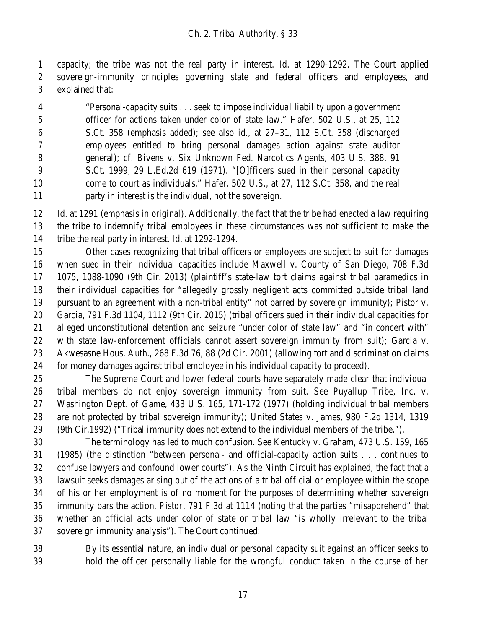capacity; the tribe was not the real party in interest. Id. at 1290-1292. The Court applied sovereign-immunity principles governing state and federal officers and employees, and explained that:

 "Personal-capacity suits . . . seek to impose *individual* liability upon a government officer for actions taken under color of state law." Hafer, 502 U.S., at 25, 112 S.Ct. 358 (emphasis added); see also id., at 27–31, 112 S.Ct. 358 (discharged employees entitled to bring personal damages action against state auditor general); cf. Bivens v. Six Unknown Fed. Narcotics Agents, 403 U.S. 388, 91 S.Ct. 1999, 29 L.Ed.2d 619 (1971). "[O]fficers sued in their personal capacity 10 come to court as individuals," Hafer, 502 U.S., at 27, 112 S.Ct. 358, and the real party in interest is the individual, not the sovereign.

 Id. at 1291 (emphasis in original). Additionally, the fact that the tribe had enacted a law requiring the tribe to indemnify tribal employees in these circumstances was not sufficient to make the tribe the real party in interest. Id. at 1292-1294.

 Other cases recognizing that tribal officers or employees are subject to suit for damages when sued in their individual capacities include Maxwell v. County of San Diego, 708 F.3d 1075, 1088-1090 (9th Cir. 2013) (plaintiff's state-law tort claims against tribal paramedics in their individual capacities for "allegedly grossly negligent acts committed outside tribal land pursuant to an agreement with a non-tribal entity" not barred by sovereign immunity); Pistor v. Garcia, 791 F.3d 1104, 1112 (9th Cir. 2015) (tribal officers sued in their individual capacities for alleged unconstitutional detention and seizure "under color of state law" and "in concert with" with state law-enforcement officials cannot assert sovereign immunity from suit); Garcia v. Akwesasne Hous. Auth., 268 F.3d 76, 88 (2d Cir. 2001) (allowing tort and discrimination claims for money damages against tribal employee in his individual capacity to proceed).

 The Supreme Court and lower federal courts have separately made clear that individual tribal members do not enjoy sovereign immunity from suit. See Puyallup Tribe, Inc. v. Washington Dept. of Game, 433 U.S. 165, 171-172 (1977) (holding individual tribal members are not protected by tribal sovereign immunity); United States v. James, 980 F.2d 1314, 1319 (9th Cir.1992) ("Tribal immunity does not extend to the individual members of the tribe.").

 The terminology has led to much confusion. See Kentucky v. Graham, 473 U.S. 159, 165 (1985) (the distinction "between personal- and official-capacity action suits . . . continues to confuse lawyers and confound lower courts"). As the Ninth Circuit has explained, the fact that a lawsuit seeks damages arising out of the actions of a tribal official or employee within the scope of his or her employment is of no moment for the purposes of determining whether sovereign immunity bars the action. *Pistor*, 791 F.3d at 1114 (noting that the parties "misapprehend" that whether an official acts under color of state or tribal law "is wholly irrelevant to the tribal sovereign immunity analysis"). The Court continued:

 By its essential nature, an individual or personal capacity suit against an officer seeks to hold the officer personally liable for the wrongful conduct taken *in the course of her*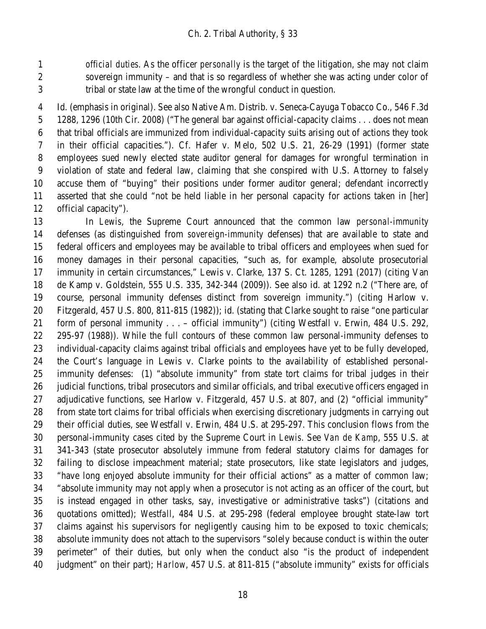*official duties*. As the officer *personally* is the target of the litigation, she may not claim sovereign immunity – and that is so regardless of whether she was acting under color of tribal or state law at the time of the wrongful conduct in question.

 Id. (emphasis in original). See also Native Am. Distrib. v. Seneca-Cayuga Tobacco Co., 546 F.3d 1288, 1296 (10th Cir. 2008) ("The general bar against official-capacity claims . . . does not mean that tribal officials are immunized from individual-capacity suits arising out of actions they took in their official capacities."). Cf. Hafer v. Melo, 502 U.S. 21, 26-29 (1991) (former state employees sued newly elected state auditor general for damages for wrongful termination in violation of state and federal law, claiming that she conspired with U.S. Attorney to falsely accuse them of "buying" their positions under former auditor general; defendant incorrectly asserted that she could "not be held liable in her personal capacity for actions taken in [her] official capacity").

 In *Lewis*, the Supreme Court announced that the common law *personal-immunity* defenses (as distinguished from *sovereign-immunity* defenses) that are available to state and federal officers and employees may be available to tribal officers and employees when sued for money damages in their personal capacities, "such as, for example, absolute prosecutorial immunity in certain circumstances," Lewis v. Clarke, 137 S. Ct. 1285, 1291 (2017) (citing Van de Kamp v. Goldstein, 555 U.S. 335, 342-344 (2009)). See also id. at 1292 n.2 ("There are, of course, personal immunity defenses distinct from sovereign immunity.") (citing Harlow v. Fitzgerald, 457 U.S. 800, 811-815 (1982)); id. (stating that Clarke sought to raise "one particular form of personal immunity . . . – official immunity") (citing Westfall v. Erwin, 484 U.S. 292, 295-97 (1988)). While the full contours of these common law personal-immunity defenses to individual-capacity claims against tribal officials and employees have yet to be fully developed, the Court's language in Lewis v. Clarke points to the availability of established personal- immunity defenses: (1) "absolute immunity" from state tort claims for tribal judges in their judicial functions, tribal prosecutors and similar officials, and tribal executive officers engaged in 27 adjudicative functions, see Harlow v. Fitzgerald, 457 U.S. at 807, and (2) "official immunity" from state tort claims for tribal officials when exercising discretionary judgments in carrying out their official duties, see Westfall v. Erwin, 484 U.S. at 295-297. This conclusion flows from the personal-immunity cases cited by the Supreme Court in *Lewis*. See *Van de Kamp*, 555 U.S. at 341-343 (state prosecutor absolutely immune from federal statutory claims for damages for failing to disclose impeachment material; state prosecutors, like state legislators and judges, "have long enjoyed absolute immunity for their official actions" as a matter of common law; "absolute immunity may not apply when a prosecutor is not acting as an officer of the court, but is instead engaged in other tasks, say, investigative or administrative tasks") (citations and quotations omitted); *Westfall*, 484 U.S. at 295-298 (federal employee brought state-law tort claims against his supervisors for negligently causing him to be exposed to toxic chemicals; absolute immunity does not attach to the supervisors "solely because conduct is within the outer perimeter" of their duties, but only when the conduct also "is the product of independent judgment" on their part); *Harlow*, 457 U.S. at 811-815 ("absolute immunity" exists for officials